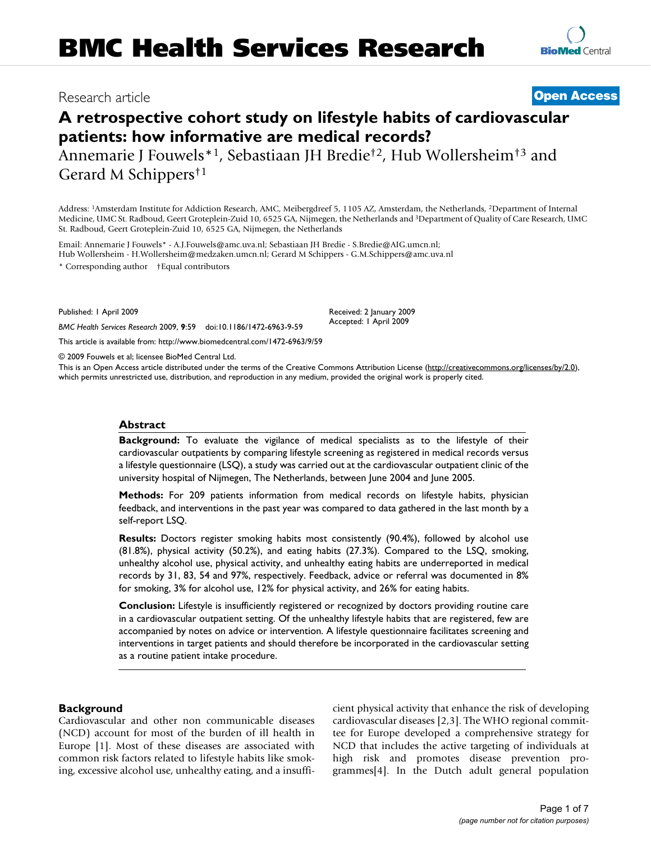## Research article **[Open Access](http://www.biomedcentral.com/info/about/charter/)**

# **A retrospective cohort study on lifestyle habits of cardiovascular patients: how informative are medical records?**

Annemarie J Fouwels\*1, Sebastiaan JH Bredie†2, Hub Wollersheim†3 and Gerard M Schippers†1

Address: 1Amsterdam Institute for Addiction Research, AMC, Meibergdreef 5, 1105 AZ, Amsterdam, the Netherlands, 2Department of Internal Medicine, UMC St. Radboud, Geert Groteplein-Zuid 10, 6525 GA, Nijmegen, the Netherlands and 3Department of Quality of Care Research, UMC St. Radboud, Geert Groteplein-Zuid 10, 6525 GA, Nijmegen, the Netherlands

Email: Annemarie J Fouwels\* - A.J.Fouwels@amc.uva.nl; Sebastiaan JH Bredie - S.Bredie@AIG.umcn.nl; Hub Wollersheim - H.Wollersheim@medzaken.umcn.nl; Gerard M Schippers - G.M.Schippers@amc.uva.nl \* Corresponding author †Equal contributors

Published: 1 April 2009

*BMC Health Services Research* 2009, **9**:59 doi:10.1186/1472-6963-9-59

[This article is available from: http://www.biomedcentral.com/1472-6963/9/59](http://www.biomedcentral.com/1472-6963/9/59)

© 2009 Fouwels et al; licensee BioMed Central Ltd.

This is an Open Access article distributed under the terms of the Creative Commons Attribution License [\(http://creativecommons.org/licenses/by/2.0\)](http://creativecommons.org/licenses/by/2.0), which permits unrestricted use, distribution, and reproduction in any medium, provided the original work is properly cited.

#### **Abstract**

**Background:** To evaluate the vigilance of medical specialists as to the lifestyle of their cardiovascular outpatients by comparing lifestyle screening as registered in medical records versus a lifestyle questionnaire (LSQ), a study was carried out at the cardiovascular outpatient clinic of the university hospital of Nijmegen, The Netherlands, between June 2004 and June 2005.

**Methods:** For 209 patients information from medical records on lifestyle habits, physician feedback, and interventions in the past year was compared to data gathered in the last month by a self-report LSQ.

**Results:** Doctors register smoking habits most consistently (90.4%), followed by alcohol use (81.8%), physical activity (50.2%), and eating habits (27.3%). Compared to the LSQ, smoking, unhealthy alcohol use, physical activity, and unhealthy eating habits are underreported in medical records by 31, 83, 54 and 97%, respectively. Feedback, advice or referral was documented in 8% for smoking, 3% for alcohol use, 12% for physical activity, and 26% for eating habits.

**Conclusion:** Lifestyle is insufficiently registered or recognized by doctors providing routine care in a cardiovascular outpatient setting. Of the unhealthy lifestyle habits that are registered, few are accompanied by notes on advice or intervention. A lifestyle questionnaire facilitates screening and interventions in target patients and should therefore be incorporated in the cardiovascular setting as a routine patient intake procedure.

#### **Background**

Cardiovascular and other non communicable diseases (NCD) account for most of the burden of ill health in Europe [1]. Most of these diseases are associated with common risk factors related to lifestyle habits like smoking, excessive alcohol use, unhealthy eating, and a insufficient physical activity that enhance the risk of developing cardiovascular diseases [2,3]. The WHO regional committee for Europe developed a comprehensive strategy for NCD that includes the active targeting of individuals at high risk and promotes disease prevention programmes[4]. In the Dutch adult general population

Received: 2 January 2009 Accepted: 1 April 2009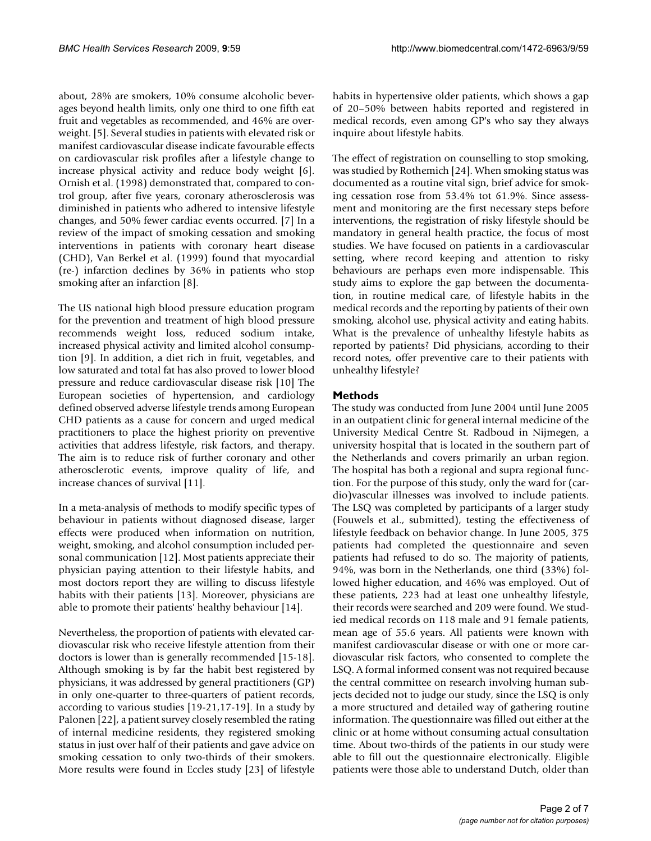about, 28% are smokers, 10% consume alcoholic beverages beyond health limits, only one third to one fifth eat fruit and vegetables as recommended, and 46% are overweight. [5]. Several studies in patients with elevated risk or manifest cardiovascular disease indicate favourable effects on cardiovascular risk profiles after a lifestyle change to increase physical activity and reduce body weight [6]. Ornish et al. (1998) demonstrated that, compared to control group, after five years, coronary atherosclerosis was diminished in patients who adhered to intensive lifestyle changes, and 50% fewer cardiac events occurred. [7] In a review of the impact of smoking cessation and smoking interventions in patients with coronary heart disease (CHD), Van Berkel et al. (1999) found that myocardial (re-) infarction declines by 36% in patients who stop smoking after an infarction [8].

The US national high blood pressure education program for the prevention and treatment of high blood pressure recommends weight loss, reduced sodium intake, increased physical activity and limited alcohol consumption [9]. In addition, a diet rich in fruit, vegetables, and low saturated and total fat has also proved to lower blood pressure and reduce cardiovascular disease risk [10] The European societies of hypertension, and cardiology defined observed adverse lifestyle trends among European CHD patients as a cause for concern and urged medical practitioners to place the highest priority on preventive activities that address lifestyle, risk factors, and therapy. The aim is to reduce risk of further coronary and other atherosclerotic events, improve quality of life, and increase chances of survival [11].

In a meta-analysis of methods to modify specific types of behaviour in patients without diagnosed disease, larger effects were produced when information on nutrition, weight, smoking, and alcohol consumption included personal communication [12]. Most patients appreciate their physician paying attention to their lifestyle habits, and most doctors report they are willing to discuss lifestyle habits with their patients [13]. Moreover, physicians are able to promote their patients' healthy behaviour [14].

Nevertheless, the proportion of patients with elevated cardiovascular risk who receive lifestyle attention from their doctors is lower than is generally recommended [15-18]. Although smoking is by far the habit best registered by physicians, it was addressed by general practitioners (GP) in only one-quarter to three-quarters of patient records, according to various studies [19-21,17-19]. In a study by Palonen [22], a patient survey closely resembled the rating of internal medicine residents, they registered smoking status in just over half of their patients and gave advice on smoking cessation to only two-thirds of their smokers. More results were found in Eccles study [23] of lifestyle habits in hypertensive older patients, which shows a gap of 20–50% between habits reported and registered in medical records, even among GP's who say they always inquire about lifestyle habits.

The effect of registration on counselling to stop smoking, was studied by Rothemich [24]. When smoking status was documented as a routine vital sign, brief advice for smoking cessation rose from 53.4% tot 61.9%. Since assessment and monitoring are the first necessary steps before interventions, the registration of risky lifestyle should be mandatory in general health practice, the focus of most studies. We have focused on patients in a cardiovascular setting, where record keeping and attention to risky behaviours are perhaps even more indispensable. This study aims to explore the gap between the documentation, in routine medical care, of lifestyle habits in the medical records and the reporting by patients of their own smoking, alcohol use, physical activity and eating habits. What is the prevalence of unhealthy lifestyle habits as reported by patients? Did physicians, according to their record notes, offer preventive care to their patients with unhealthy lifestyle?

### **Methods**

The study was conducted from June 2004 until June 2005 in an outpatient clinic for general internal medicine of the University Medical Centre St. Radboud in Nijmegen, a university hospital that is located in the southern part of the Netherlands and covers primarily an urban region. The hospital has both a regional and supra regional function. For the purpose of this study, only the ward for (cardio)vascular illnesses was involved to include patients. The LSQ was completed by participants of a larger study (Fouwels et al., submitted), testing the effectiveness of lifestyle feedback on behavior change. In June 2005, 375 patients had completed the questionnaire and seven patients had refused to do so. The majority of patients, 94%, was born in the Netherlands, one third (33%) followed higher education, and 46% was employed. Out of these patients, 223 had at least one unhealthy lifestyle, their records were searched and 209 were found. We studied medical records on 118 male and 91 female patients, mean age of 55.6 years. All patients were known with manifest cardiovascular disease or with one or more cardiovascular risk factors, who consented to complete the LSQ. A formal informed consent was not required because the central committee on research involving human subjects decided not to judge our study, since the LSQ is only a more structured and detailed way of gathering routine information. The questionnaire was filled out either at the clinic or at home without consuming actual consultation time. About two-thirds of the patients in our study were able to fill out the questionnaire electronically. Eligible patients were those able to understand Dutch, older than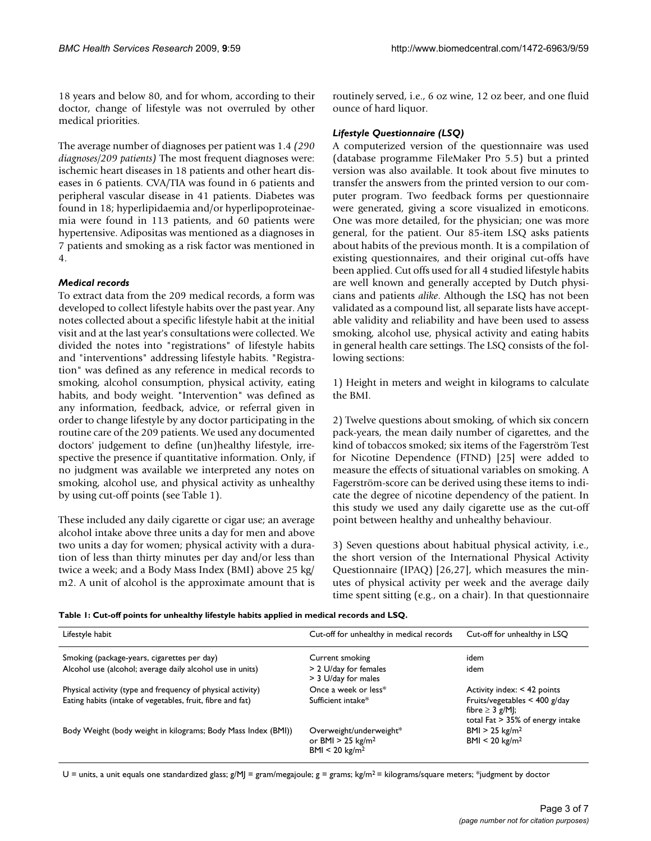18 years and below 80, and for whom, according to their doctor, change of lifestyle was not overruled by other medical priorities.

The average number of diagnoses per patient was 1.4 *(290 diagnoses/209 patients)* The most frequent diagnoses were: ischemic heart diseases in 18 patients and other heart diseases in 6 patients. CVA/TIA was found in 6 patients and peripheral vascular disease in 41 patients. Diabetes was found in 18; hyperlipidaemia and/or hyperlipoproteinaemia were found in 113 patients, and 60 patients were hypertensive. Adipositas was mentioned as a diagnoses in 7 patients and smoking as a risk factor was mentioned in 4.

#### *Medical records*

To extract data from the 209 medical records, a form was developed to collect lifestyle habits over the past year. Any notes collected about a specific lifestyle habit at the initial visit and at the last year's consultations were collected. We divided the notes into "registrations" of lifestyle habits and "interventions" addressing lifestyle habits. "Registration" was defined as any reference in medical records to smoking, alcohol consumption, physical activity, eating habits, and body weight. "Intervention" was defined as any information, feedback, advice, or referral given in order to change lifestyle by any doctor participating in the routine care of the 209 patients. We used any documented doctors' judgement to define (un)healthy lifestyle, irrespective the presence if quantitative information. Only, if no judgment was available we interpreted any notes on smoking, alcohol use, and physical activity as unhealthy by using cut-off points (see Table 1).

These included any daily cigarette or cigar use; an average alcohol intake above three units a day for men and above two units a day for women; physical activity with a duration of less than thirty minutes per day and/or less than twice a week; and a Body Mass Index (BMI) above 25 kg/ m2. A unit of alcohol is the approximate amount that is routinely served, i.e., 6 oz wine, 12 oz beer, and one fluid ounce of hard liquor.

#### *Lifestyle Questionnaire (LSQ)*

A computerized version of the questionnaire was used (database programme FileMaker Pro 5.5) but a printed version was also available. It took about five minutes to transfer the answers from the printed version to our computer program. Two feedback forms per questionnaire were generated, giving a score visualized in emoticons. One was more detailed, for the physician; one was more general, for the patient. Our 85-item LSQ asks patients about habits of the previous month. It is a compilation of existing questionnaires, and their original cut-offs have been applied. Cut offs used for all 4 studied lifestyle habits are well known and generally accepted by Dutch physicians and patients *alike*. Although the LSQ has not been validated as a compound list, all separate lists have acceptable validity and reliability and have been used to assess smoking, alcohol use, physical activity and eating habits in general health care settings. The LSQ consists of the following sections:

1) Height in meters and weight in kilograms to calculate the BMI.

2) Twelve questions about smoking, of which six concern pack-years, the mean daily number of cigarettes, and the kind of tobaccos smoked; six items of the Fagerström Test for Nicotine Dependence (FTND) [25] were added to measure the effects of situational variables on smoking. A Fagerström-score can be derived using these items to indicate the degree of nicotine dependency of the patient. In this study we used any daily cigarette use as the cut-off point between healthy and unhealthy behaviour.

3) Seven questions about habitual physical activity, i.e., the short version of the International Physical Activity Questionnaire (IPAQ) [26,27], which measures the minutes of physical activity per week and the average daily time spent sitting (e.g., on a chair). In that questionnaire

|  |  |  | Table 1: Cut-off points for unhealthy lifestyle habits applied in medical records and LSQ. |
|--|--|--|--------------------------------------------------------------------------------------------|
|--|--|--|--------------------------------------------------------------------------------------------|

| Lifestyle habit                                               | Cut-off for unhealthy in medical records                                                | Cut-off for unhealthy in LSO                                                                       |
|---------------------------------------------------------------|-----------------------------------------------------------------------------------------|----------------------------------------------------------------------------------------------------|
| Smoking (package-years, cigarettes per day)                   | Current smoking                                                                         | idem                                                                                               |
| Alcohol use (alcohol; average daily alcohol use in units)     | > 2 U/day for females<br>> 3 U/day for males                                            | idem                                                                                               |
| Physical activity (type and frequency of physical activity)   | Once a week or less*                                                                    | Activity index: < 42 points                                                                        |
| Eating habits (intake of vegetables, fruit, fibre and fat)    | Sufficient intake*                                                                      | Fruits/vegetables < $400$ g/day<br>fibre $\geq 3$ g/M ;<br>total $Fact \geq 35\%$ of energy intake |
| Body Weight (body weight in kilograms; Body Mass Index (BMI)) | Overweight/underweight*<br>or BMI $>$ 25 kg/m <sup>2</sup><br>$BMI < 20 \text{ kg/m}^2$ | $BMI > 25$ kg/m <sup>2</sup><br>$BMI < 20$ kg/m <sup>2</sup>                                       |

 $U =$  units, a unit equals one standardized glass; g/MJ = gram/megajoule; g = grams; kg/m<sup>2</sup> = kilograms/square meters; \*judgment by doctor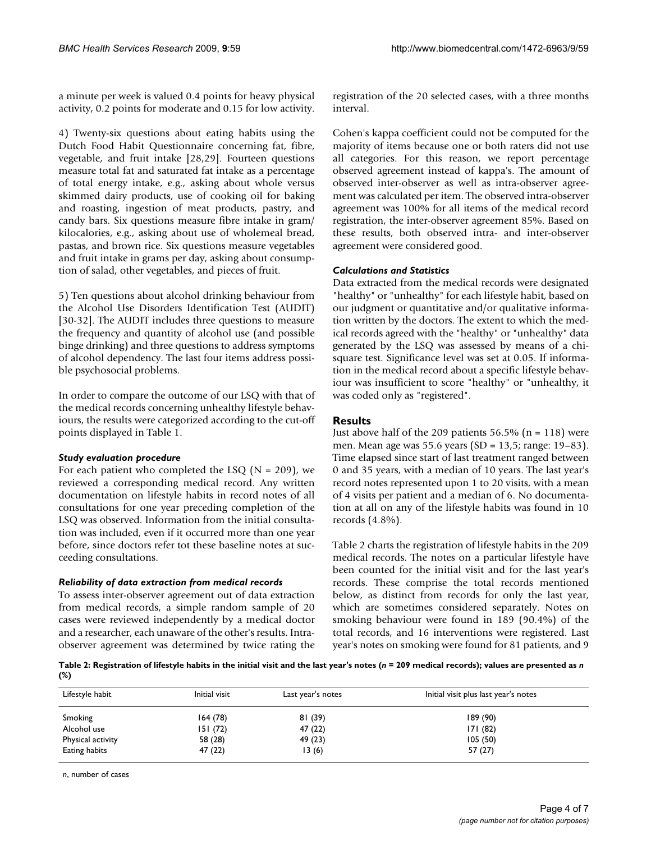a minute per week is valued 0.4 points for heavy physical activity, 0.2 points for moderate and 0.15 for low activity.

4) Twenty-six questions about eating habits using the Dutch Food Habit Questionnaire concerning fat, fibre, vegetable, and fruit intake [28,29]. Fourteen questions measure total fat and saturated fat intake as a percentage of total energy intake, e.g., asking about whole versus skimmed dairy products, use of cooking oil for baking and roasting, ingestion of meat products, pastry, and candy bars. Six questions measure fibre intake in gram/ kilocalories, e.g., asking about use of wholemeal bread, pastas, and brown rice. Six questions measure vegetables and fruit intake in grams per day, asking about consumption of salad, other vegetables, and pieces of fruit.

5) Ten questions about alcohol drinking behaviour from the Alcohol Use Disorders Identification Test (AUDIT) [30-32]. The AUDIT includes three questions to measure the frequency and quantity of alcohol use (and possible binge drinking) and three questions to address symptoms of alcohol dependency. The last four items address possible psychosocial problems.

In order to compare the outcome of our LSQ with that of the medical records concerning unhealthy lifestyle behaviours, the results were categorized according to the cut-off points displayed in Table 1.

#### *Study evaluation procedure*

For each patient who completed the LSO  $(N = 209)$ , we reviewed a corresponding medical record. Any written documentation on lifestyle habits in record notes of all consultations for one year preceding completion of the LSQ was observed. Information from the initial consultation was included, even if it occurred more than one year before, since doctors refer tot these baseline notes at succeeding consultations.

#### *Reliability of data extraction from medical records*

To assess inter-observer agreement out of data extraction from medical records, a simple random sample of 20 cases were reviewed independently by a medical doctor and a researcher, each unaware of the other's results. Intraobserver agreement was determined by twice rating the registration of the 20 selected cases, with a three months interval.

Cohen's kappa coefficient could not be computed for the majority of items because one or both raters did not use all categories. For this reason, we report percentage observed agreement instead of kappa's. The amount of observed inter-observer as well as intra-observer agreement was calculated per item. The observed intra-observer agreement was 100% for all items of the medical record registration, the inter-observer agreement 85%. Based on these results, both observed intra- and inter-observer agreement were considered good.

#### *Calculations and Statistics*

Data extracted from the medical records were designated "healthy" or "unhealthy" for each lifestyle habit, based on our judgment or quantitative and/or qualitative information written by the doctors. The extent to which the medical records agreed with the "healthy" or "unhealthy" data generated by the LSQ was assessed by means of a chisquare test. Significance level was set at 0.05. If information in the medical record about a specific lifestyle behaviour was insufficient to score "healthy" or "unhealthy, it was coded only as "registered".

#### **Results**

Just above half of the 209 patients  $56.5\%$  (n = 118) were men. Mean age was 55.6 years (SD = 13,5; range: 19–83). Time elapsed since start of last treatment ranged between 0 and 35 years, with a median of 10 years. The last year's record notes represented upon 1 to 20 visits, with a mean of 4 visits per patient and a median of 6. No documentation at all on any of the lifestyle habits was found in 10 records (4.8%).

Table 2 charts the registration of lifestyle habits in the 209 medical records. The notes on a particular lifestyle have been counted for the initial visit and for the last year's records. These comprise the total records mentioned below, as distinct from records for only the last year, which are sometimes considered separately. Notes on smoking behaviour were found in 189 (90.4%) of the total records, and 16 interventions were registered. Last year's notes on smoking were found for 81 patients, and 9

Table 2: Registration of lifestyle habits in the initial visit and the last year's notes (*n* = 209 medical records); values are presented as *n* **(%)**

| Lifestyle habit   | Initial visit | Last year's notes | Initial visit plus last year's notes |
|-------------------|---------------|-------------------|--------------------------------------|
| Smoking           | 164(78)       | 81 (39)           | 189(90)                              |
| Alcohol use       | 151(72)       | 47 (22)           | 171(82)                              |
| Physical activity | 58 (28)       | 49 (23)           | 105(50)                              |
| Eating habits     | 47 (22)       | 13(6)             | 57 (27)                              |

*n*, number of cases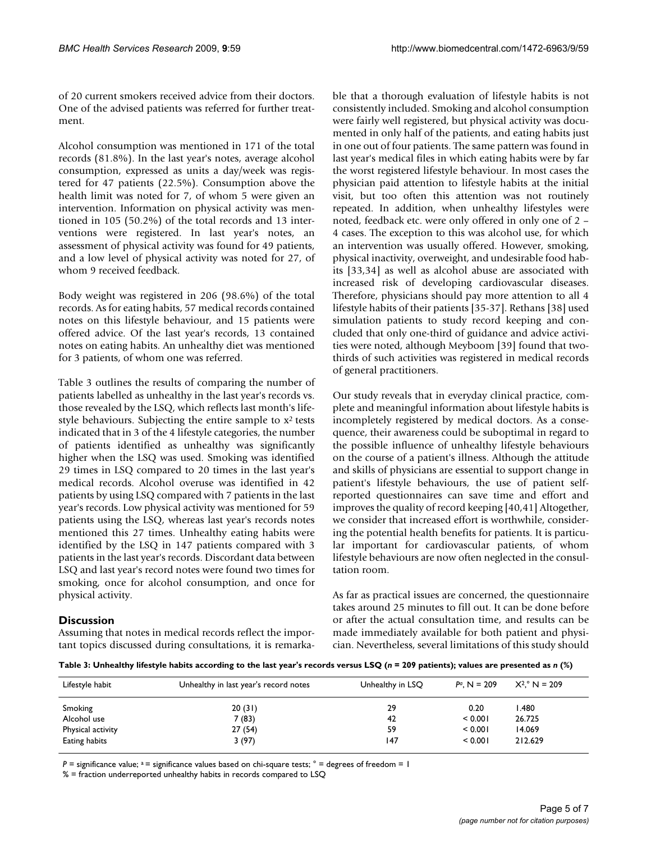of 20 current smokers received advice from their doctors. One of the advised patients was referred for further treatment.

Alcohol consumption was mentioned in 171 of the total records (81.8%). In the last year's notes, average alcohol consumption, expressed as units a day/week was registered for 47 patients (22.5%). Consumption above the health limit was noted for 7, of whom 5 were given an intervention. Information on physical activity was mentioned in 105 (50.2%) of the total records and 13 interventions were registered. In last year's notes, an assessment of physical activity was found for 49 patients, and a low level of physical activity was noted for 27, of whom 9 received feedback.

Body weight was registered in 206 (98.6%) of the total records. As for eating habits, 57 medical records contained notes on this lifestyle behaviour, and 15 patients were offered advice. Of the last year's records, 13 contained notes on eating habits. An unhealthy diet was mentioned for 3 patients, of whom one was referred.

Table 3 outlines the results of comparing the number of patients labelled as unhealthy in the last year's records vs. those revealed by the LSQ, which reflects last month's lifestyle behaviours. Subjecting the entire sample to  $x^2$  tests indicated that in 3 of the 4 lifestyle categories, the number of patients identified as unhealthy was significantly higher when the LSQ was used. Smoking was identified 29 times in LSQ compared to 20 times in the last year's medical records. Alcohol overuse was identified in 42 patients by using LSQ compared with 7 patients in the last year's records. Low physical activity was mentioned for 59 patients using the LSQ, whereas last year's records notes mentioned this 27 times. Unhealthy eating habits were identified by the LSQ in 147 patients compared with 3 patients in the last year's records. Discordant data between LSQ and last year's record notes were found two times for smoking, once for alcohol consumption, and once for physical activity.

#### **Discussion**

Assuming that notes in medical records reflect the important topics discussed during consultations, it is remarkable that a thorough evaluation of lifestyle habits is not consistently included. Smoking and alcohol consumption were fairly well registered, but physical activity was documented in only half of the patients, and eating habits just in one out of four patients. The same pattern was found in last year's medical files in which eating habits were by far the worst registered lifestyle behaviour. In most cases the physician paid attention to lifestyle habits at the initial visit, but too often this attention was not routinely repeated. In addition, when unhealthy lifestyles were noted, feedback etc. were only offered in only one of 2 – 4 cases. The exception to this was alcohol use, for which an intervention was usually offered. However, smoking, physical inactivity, overweight, and undesirable food habits [33,34] as well as alcohol abuse are associated with increased risk of developing cardiovascular diseases. Therefore, physicians should pay more attention to all 4 lifestyle habits of their patients [35-37]. Rethans [38] used simulation patients to study record keeping and concluded that only one-third of guidance and advice activities were noted, although Meyboom [39] found that twothirds of such activities was registered in medical records of general practitioners.

Our study reveals that in everyday clinical practice, complete and meaningful information about lifestyle habits is incompletely registered by medical doctors. As a consequence, their awareness could be suboptimal in regard to the possible influence of unhealthy lifestyle behaviours on the course of a patient's illness. Although the attitude and skills of physicians are essential to support change in patient's lifestyle behaviours, the use of patient selfreported questionnaires can save time and effort and improves the quality of record keeping [40,41] Altogether, we consider that increased effort is worthwhile, considering the potential health benefits for patients. It is particular important for cardiovascular patients, of whom lifestyle behaviours are now often neglected in the consultation room.

As far as practical issues are concerned, the questionnaire takes around 25 minutes to fill out. It can be done before or after the actual consultation time, and results can be made immediately available for both patient and physician. Nevertheless, several limitations of this study should

**Table 3: Unhealthy lifestyle habits according to the last year's records versus LSQ (***n* **= 209 patients); values are presented as** *n* **(%)**

| Lifestyle habit   | Unhealthy in last year's record notes<br>Unhealthy in LSO |     | $Pa, N = 209$ | $X^2$ N = 209 |  |
|-------------------|-----------------------------------------------------------|-----|---------------|---------------|--|
| Smoking           | 20(31)                                                    | 29  | 0.20          | 480. ا        |  |
| Alcohol use       | 7 (83)                                                    | 42  | < 0.001       | 26.725        |  |
| Physical activity | 27 (54)                                                   | 59  | < 0.001       | 14.069        |  |
| Eating habits     | 3 (97)                                                    | 147 | < 0.001       | 212.629       |  |

 $P =$  significance value;  $a =$  significance values based on chi-square tests;  $\degree$  = degrees of freedom = 1

% = fraction underreported unhealthy habits in records compared to LSQ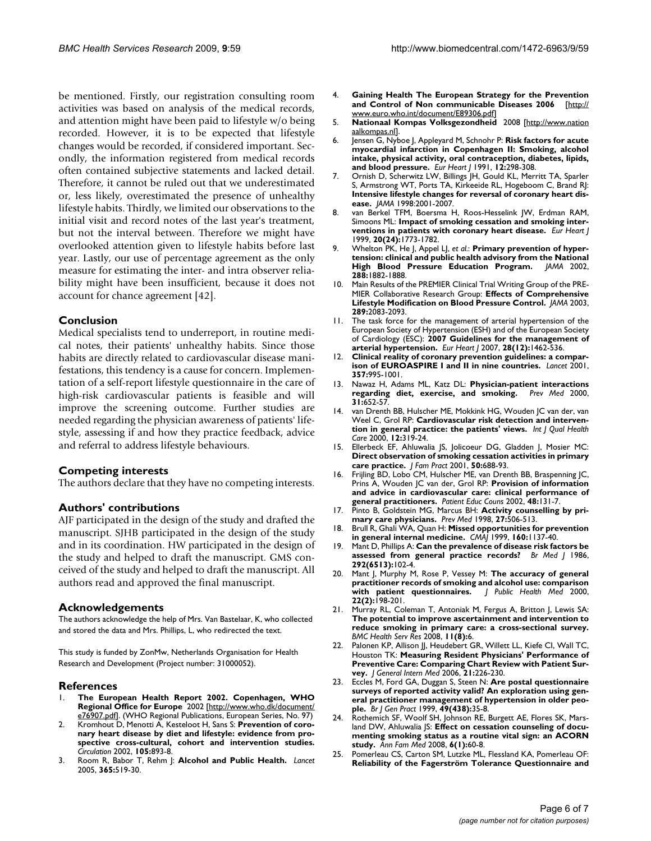be mentioned. Firstly, our registration consulting room activities was based on analysis of the medical records, and attention might have been paid to lifestyle w/o being recorded. However, it is to be expected that lifestyle changes would be recorded, if considered important. Secondly, the information registered from medical records often contained subjective statements and lacked detail. Therefore, it cannot be ruled out that we underestimated or, less likely, overestimated the presence of unhealthy lifestyle habits. Thirdly, we limited our observations to the initial visit and record notes of the last year's treatment, but not the interval between. Therefore we might have overlooked attention given to lifestyle habits before last year. Lastly, our use of percentage agreement as the only measure for estimating the inter- and intra observer reliability might have been insufficient, because it does not account for chance agreement [42].

#### **Conclusion**

Medical specialists tend to underreport, in routine medical notes, their patients' unhealthy habits. Since those habits are directly related to cardiovascular disease manifestations, this tendency is a cause for concern. Implementation of a self-report lifestyle questionnaire in the care of high-risk cardiovascular patients is feasible and will improve the screening outcome. Further studies are needed regarding the physician awareness of patients' lifestyle, assessing if and how they practice feedback, advice and referral to address lifestyle behaviours.

#### **Competing interests**

The authors declare that they have no competing interests.

#### **Authors' contributions**

AJF participated in the design of the study and drafted the manuscript. SJHB participated in the design of the study and in its coordination. HW participated in the design of the study and helped to draft the manuscript. GMS conceived of the study and helped to draft the manuscript. All authors read and approved the final manuscript.

#### **Acknowledgements**

The authors acknowledge the help of Mrs. Van Bastelaar, K, who collected and stored the data and Mrs. Phillips, L, who redirected the text.

This study is funded by ZonMw, Netherlands Organisation for Health Research and Development (Project number: 31000052).

#### **References**

- 1. **The European Health Report 2002. Copenhagen, WHO Regional Office for Europe** 2002 [[http://www.who.dk/document/](http://www.who.dk/document/e76907.pdf) [e76907.pdf\]](http://www.who.dk/document/e76907.pdf). (WHO Regional Publications, European Series, No. 97)
- 2. Kromhout D, Menotti A, Kesteloot H, Sans S: **[Prevention of coro](http://www.ncbi.nlm.nih.gov/entrez/query.fcgi?cmd=Retrieve&db=PubMed&dopt=Abstract&list_uids=11854133)[nary heart disease by diet and lifestyle: evidence from pro](http://www.ncbi.nlm.nih.gov/entrez/query.fcgi?cmd=Retrieve&db=PubMed&dopt=Abstract&list_uids=11854133)spective cross-cultural, cohort and intervention studies.** *Circulation* 2002, **105:**893-8.
- 3. Room R, Babor T, Rehm J: **[Alcohol and Public Health.](http://www.ncbi.nlm.nih.gov/entrez/query.fcgi?cmd=Retrieve&db=PubMed&dopt=Abstract&list_uids=15705462)** *Lancet* 2005, **365:**519-30.
- 4. **Gaining Health The European Strategy for the Prevention and Control of Non communicable Diseases 2006** [\[http://](http://www.euro.who.int/document/E89306.pdf) [www.euro.who.int/document/E89306.pdf\]](http://www.euro.who.int/document/E89306.pdf)
- 5. **Nationaal Kompas Volksgezondheid** 2008 [\[http://www.nation](http://www.nationaalkompas.nl) [aalkompas.nl](http://www.nationaalkompas.nl)].
- 6. Jensen G, Nyboe J, Appleyard M, Schnohr P: **[Risk factors for acute](http://www.ncbi.nlm.nih.gov/entrez/query.fcgi?cmd=Retrieve&db=PubMed&dopt=Abstract&list_uids=2040311) [myocardial infarction in Copenhagen II: Smoking, alcohol](http://www.ncbi.nlm.nih.gov/entrez/query.fcgi?cmd=Retrieve&db=PubMed&dopt=Abstract&list_uids=2040311) intake, physical activity, oral contraception, diabetes, lipids, [and blood pressure.](http://www.ncbi.nlm.nih.gov/entrez/query.fcgi?cmd=Retrieve&db=PubMed&dopt=Abstract&list_uids=2040311)** *Eur Heart J* 1991, **12:**298-308.
- 7. Ornish D, Scherwitz LW, Billings JH, Gould KL, Merritt TA, Sparler S, Armstrong WT, Ports TA, Kirkeeide RL, Hogeboom C, Brand RJ: **[Intensive lifestyle changes for reversal of coronary heart dis](http://www.ncbi.nlm.nih.gov/entrez/query.fcgi?cmd=Retrieve&db=PubMed&dopt=Abstract&list_uids=9863851)[ease.](http://www.ncbi.nlm.nih.gov/entrez/query.fcgi?cmd=Retrieve&db=PubMed&dopt=Abstract&list_uids=9863851)** *JAMA* 1998:2001-2007.
- 8. van Berkel TFM, Boersma H, Roos-Hesselink JW, Erdman RAM, Simoons ML: **[Impact of smoking cessation and smoking inter](http://www.ncbi.nlm.nih.gov/entrez/query.fcgi?cmd=Retrieve&db=PubMed&dopt=Abstract&list_uids=10581135)[ventions in patients with coronary heart disease.](http://www.ncbi.nlm.nih.gov/entrez/query.fcgi?cmd=Retrieve&db=PubMed&dopt=Abstract&list_uids=10581135)** *Eur Heart J* 1999, **20(24):**1773-1782.
- 9. Whelton PK, He J, Appel LJ, *et al.*: **[Primary prevention of hyper](http://www.ncbi.nlm.nih.gov/entrez/query.fcgi?cmd=Retrieve&db=PubMed&dopt=Abstract&list_uids=12377087)[tension: clinical and public health advisory from the National](http://www.ncbi.nlm.nih.gov/entrez/query.fcgi?cmd=Retrieve&db=PubMed&dopt=Abstract&list_uids=12377087) [High Blood Pressure Education Program.](http://www.ncbi.nlm.nih.gov/entrez/query.fcgi?cmd=Retrieve&db=PubMed&dopt=Abstract&list_uids=12377087)** *JAMA* 2002, **288:**1882-1888.
- Main Results of the PREMIER Clinical Trial Writing Group of the PRE-MIER Collaborative Research Group: **[Effects of Comprehensive](http://www.ncbi.nlm.nih.gov/entrez/query.fcgi?cmd=Retrieve&db=PubMed&dopt=Abstract&list_uids=12709466) [Lifestyle Modification on Blood Pressure Control.](http://www.ncbi.nlm.nih.gov/entrez/query.fcgi?cmd=Retrieve&db=PubMed&dopt=Abstract&list_uids=12709466)** *JAMA* 2003, **289:**2083-2093.
- 11. The task force for the management of arterial hypertension of the European Society of Hypertension (ESH) and of the European Society of Cardiology (ESC): **[2007 Guidelines for the management of](http://www.ncbi.nlm.nih.gov/entrez/query.fcgi?cmd=Retrieve&db=PubMed&dopt=Abstract&list_uids=17562668) [arterial hypertension.](http://www.ncbi.nlm.nih.gov/entrez/query.fcgi?cmd=Retrieve&db=PubMed&dopt=Abstract&list_uids=17562668)** *Eur Heart J* 2007, **28(12):**1462-536.
- 12. **[Clinical reality of coronary prevention guidelines: a compar](http://www.ncbi.nlm.nih.gov/entrez/query.fcgi?cmd=Retrieve&db=PubMed&dopt=Abstract&list_uids=11293642)[ison of EUROASPIRE I and II in nine countries.](http://www.ncbi.nlm.nih.gov/entrez/query.fcgi?cmd=Retrieve&db=PubMed&dopt=Abstract&list_uids=11293642)** *Lancet* 2001, **357:**995-1001.
- 13. Nawaz H, Adams ML, Katz DL: **[Physician-patient interactions](http://www.ncbi.nlm.nih.gov/entrez/query.fcgi?cmd=Retrieve&db=PubMed&dopt=Abstract&list_uids=11133331) [regarding diet, exercise, and smoking.](http://www.ncbi.nlm.nih.gov/entrez/query.fcgi?cmd=Retrieve&db=PubMed&dopt=Abstract&list_uids=11133331)** *Prev Med* 2000, **31:**652-57.
- 14. van Drenth BB, Hulscher ME, Mokkink HG, Wouden JC van der, van Weel C, Grol RP: **[Cardiovascular risk detection and interven](http://www.ncbi.nlm.nih.gov/entrez/query.fcgi?cmd=Retrieve&db=PubMed&dopt=Abstract&list_uids=10985270)[tion in general practice: the patients' views.](http://www.ncbi.nlm.nih.gov/entrez/query.fcgi?cmd=Retrieve&db=PubMed&dopt=Abstract&list_uids=10985270)** *Int J Qual Health Care* 2000, **12:**319-24.
- 15. Ellerbeck EF, Ahluwalia JS, Jolicoeur DG, Gladden J, Mosier MC: **[Direct observation of smoking cessation activities in primary](http://www.ncbi.nlm.nih.gov/entrez/query.fcgi?cmd=Retrieve&db=PubMed&dopt=Abstract&list_uids=11509163) [care practice.](http://www.ncbi.nlm.nih.gov/entrez/query.fcgi?cmd=Retrieve&db=PubMed&dopt=Abstract&list_uids=11509163)** *J Fam Pract* 2001, **50:**688-93.
- 16. Frijling BD, Lobo CM, Hulscher ME, van Drenth BB, Braspenning JC, Prins A, Wouden JC van der, Grol RP: **[Provision of information](http://www.ncbi.nlm.nih.gov/entrez/query.fcgi?cmd=Retrieve&db=PubMed&dopt=Abstract&list_uids=12401416) [and advice in cardiovascular care: clinical performance of](http://www.ncbi.nlm.nih.gov/entrez/query.fcgi?cmd=Retrieve&db=PubMed&dopt=Abstract&list_uids=12401416) [general practitioners.](http://www.ncbi.nlm.nih.gov/entrez/query.fcgi?cmd=Retrieve&db=PubMed&dopt=Abstract&list_uids=12401416)** *Patient Educ Couns* 2002, **48:**131-7.
- 17. Pinto B, Goldstein MG, Marcus BH: **[Activity counselling by pri](http://www.ncbi.nlm.nih.gov/entrez/query.fcgi?cmd=Retrieve&db=PubMed&dopt=Abstract&list_uids=9672943)[mary care physicians.](http://www.ncbi.nlm.nih.gov/entrez/query.fcgi?cmd=Retrieve&db=PubMed&dopt=Abstract&list_uids=9672943)** *Prev Med* 1998, **27:**506-513.
- 18. Brull R, Ghali WA, Quan H: **[Missed opportunities for prevention](http://www.ncbi.nlm.nih.gov/entrez/query.fcgi?cmd=Retrieve&db=PubMed&dopt=Abstract&list_uids=10234343) [in general internal medicine.](http://www.ncbi.nlm.nih.gov/entrez/query.fcgi?cmd=Retrieve&db=PubMed&dopt=Abstract&list_uids=10234343)** *CMAJ* 1999, **160:**1137-40.
- 19. Mant D, Phillips A: **Can the prevalence of disease risk factors be assessed from general practice records?** *Br Med J* 1986, **292(6513):**102-4.
- 20. Mant J, Murphy M, Rose P, Vessey M: **[The accuracy of general](http://www.ncbi.nlm.nih.gov/entrez/query.fcgi?cmd=Retrieve&db=PubMed&dopt=Abstract&list_uids=10912559) [practitioner records of smoking and alcohol use: comparison](http://www.ncbi.nlm.nih.gov/entrez/query.fcgi?cmd=Retrieve&db=PubMed&dopt=Abstract&list_uids=10912559)** [with patient questionnaires.](http://www.ncbi.nlm.nih.gov/entrez/query.fcgi?cmd=Retrieve&db=PubMed&dopt=Abstract&list_uids=10912559) **22(2):**198-201.
- 21. Murray RL, Coleman T, Antoniak M, Fergus A, Britton J, Lewis SA: **The potential to improve ascertainment and intervention to reduce smoking in primary care: a cross-sectional survey.** *BMC Health Serv Res* 2008, **11(8):**6.
- 22. Palonen KP, Allison JJ, Heudebert GR, Willett LL, Kiefe CI, Wall TC, Houston TK: **Measuring Resident Physicians' Performance of Preventive Care: Comparing Chart Review with Patient Survey.** *J General Intern Med* 2006, **21:**226-230.
- 23. Eccles M, Ford GA, Duggan S, Steen N: **[Are postal questionnaire](http://www.ncbi.nlm.nih.gov/entrez/query.fcgi?cmd=Retrieve&db=PubMed&dopt=Abstract&list_uids=10622014) surveys of reported activity valid? An exploration using gen[eral practitioner management of hypertension in older peo](http://www.ncbi.nlm.nih.gov/entrez/query.fcgi?cmd=Retrieve&db=PubMed&dopt=Abstract&list_uids=10622014)[ple.](http://www.ncbi.nlm.nih.gov/entrez/query.fcgi?cmd=Retrieve&db=PubMed&dopt=Abstract&list_uids=10622014)** *Br J Gen Pract* 1999, **49(438):**35-8.
- 24. Rothemich SF, Woolf SH, Johnson RE, Burgett AE, Flores SK, Mars-land DW, Ahluwalia JS: [Effect on cessation counseling of docu](http://www.ncbi.nlm.nih.gov/entrez/query.fcgi?cmd=Retrieve&db=PubMed&dopt=Abstract&list_uids=18195316)**[menting smoking status as a routine vital sign: an ACORN](http://www.ncbi.nlm.nih.gov/entrez/query.fcgi?cmd=Retrieve&db=PubMed&dopt=Abstract&list_uids=18195316) [study.](http://www.ncbi.nlm.nih.gov/entrez/query.fcgi?cmd=Retrieve&db=PubMed&dopt=Abstract&list_uids=18195316)** *Ann Fam Med* 2008, **6(1):**60-8.
- 25. Pomerleau CS, Carton SM, Lutzke ML, Flessland KA, Pomerleau OF: **Reliability of the Fagerström Tolerance Questionnaire and**